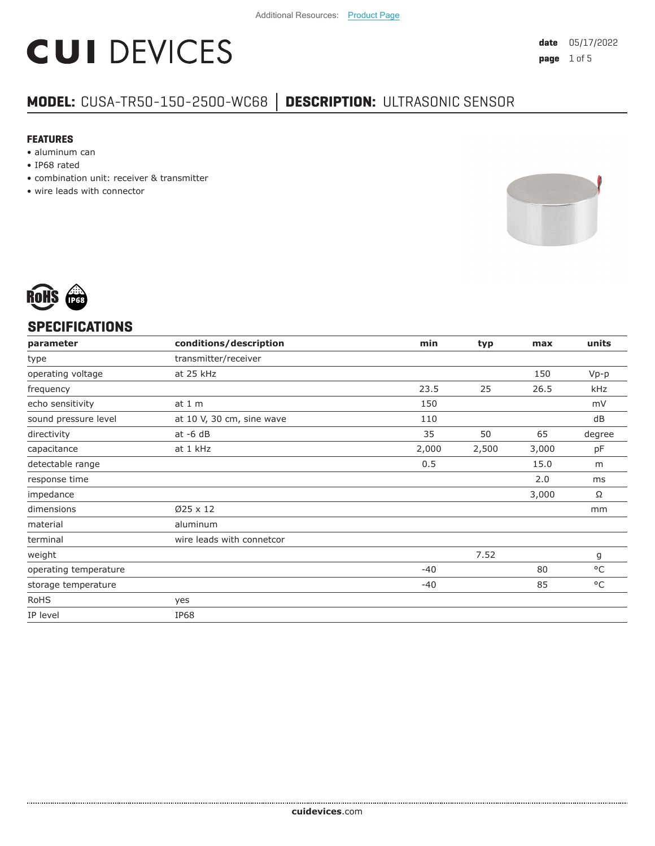# **CUI DEVICES**

### **MODEL:** CUSA-TR50-150-2500-WC68 **│ DESCRIPTION:** ULTRASONIC SENSOR

#### **FEATURES**

- aluminum can
- IP68 rated
- combination unit: receiver & transmitter
- wire leads with connector





#### **SPECIFICATIONS**

| parameter             | conditions/description    | min   | typ   | max   | units        |
|-----------------------|---------------------------|-------|-------|-------|--------------|
| type                  | transmitter/receiver      |       |       |       |              |
| operating voltage     | at 25 kHz                 |       |       | 150   | $Vp-p$       |
| frequency             |                           | 23.5  | 25    | 26.5  | kHz          |
| echo sensitivity      | at $1m$                   | 150   |       |       | mV           |
| sound pressure level  | at 10 V, 30 cm, sine wave | 110   |       |       | dB           |
| directivity           | $at -6 dB$                | 35    | 50    | 65    | degree       |
| capacitance           | at 1 kHz                  | 2,000 | 2,500 | 3,000 | pF           |
| detectable range      |                           | 0.5   |       | 15.0  | m            |
| response time         |                           |       |       | 2.0   | ms           |
| impedance             |                           |       |       | 3,000 | Ω            |
| dimensions            | $Ø25 \times 12$           |       |       |       | mm           |
| material              | aluminum                  |       |       |       |              |
| terminal              | wire leads with connetcor |       |       |       |              |
| weight                |                           |       | 7.52  |       | g            |
| operating temperature |                           | $-40$ |       | 80    | $^{\circ}$ C |
| storage temperature   |                           | $-40$ |       | 85    | $^{\circ}$ C |
| <b>RoHS</b>           | yes                       |       |       |       |              |
| IP level              | <b>IP68</b>               |       |       |       |              |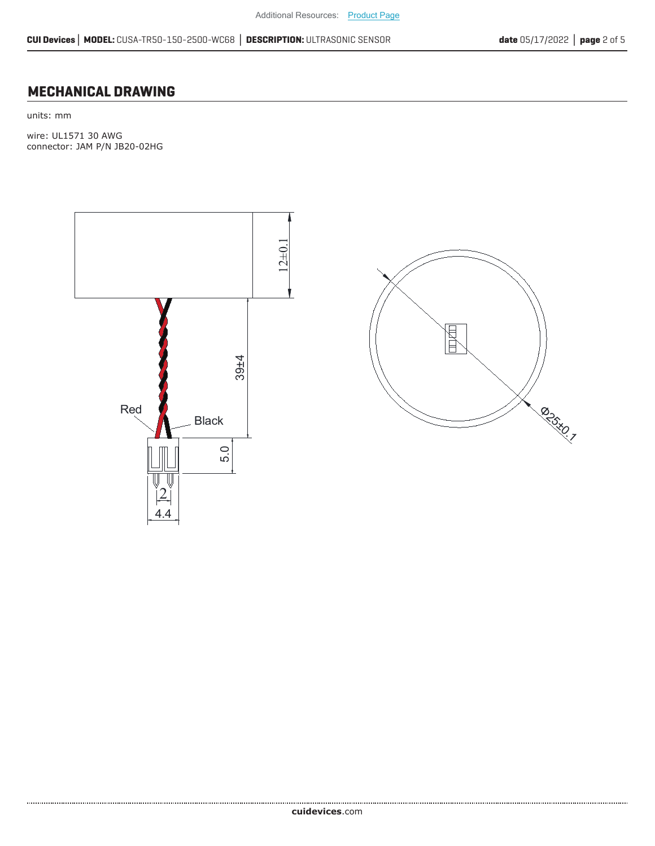#### **MECHANICAL DRAWING**

units: mm

wire: UL1571 30 AWG connector: JAM P/N JB20-02HG



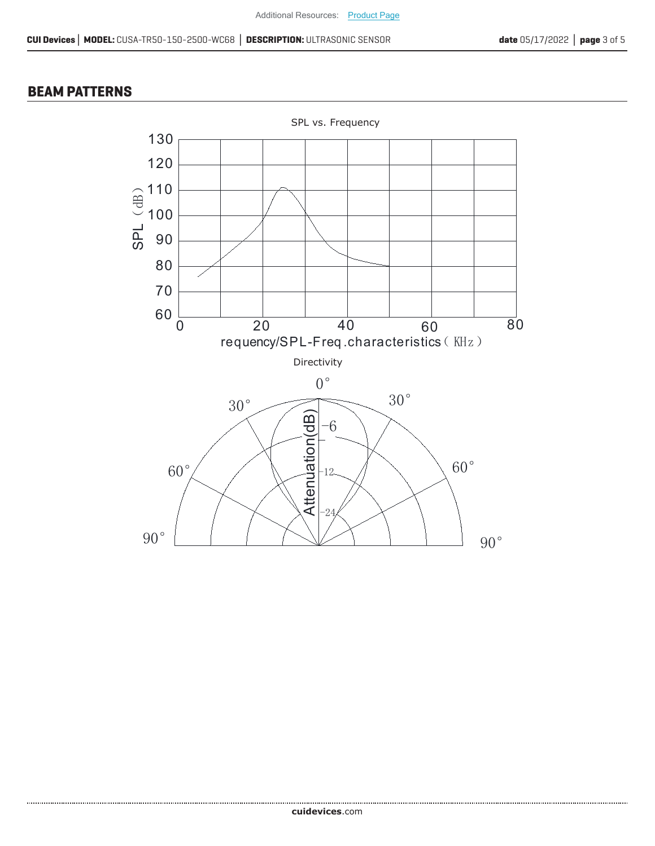#### **BEAM PATTERNS**

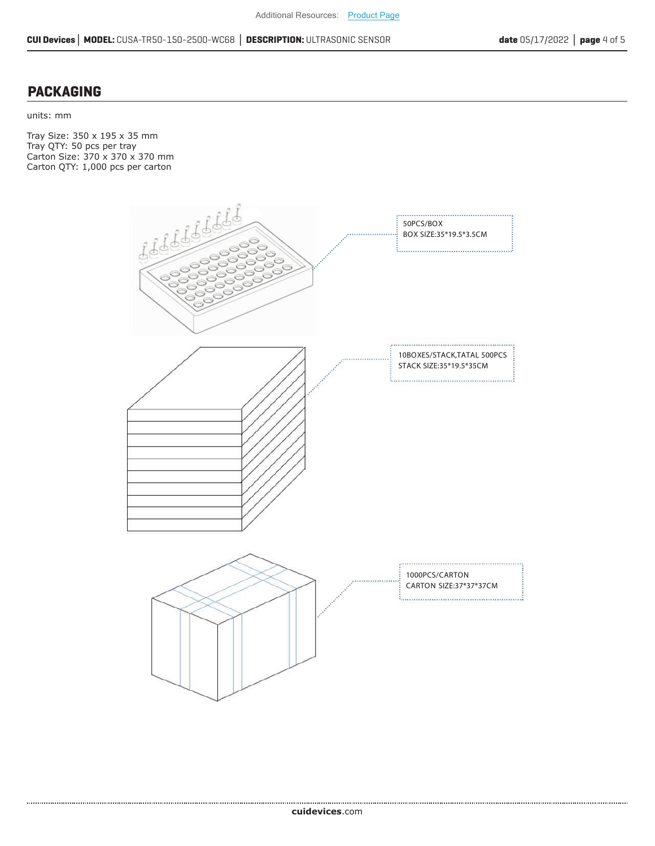#### **PACKAGING**

units: mm

Tray Size: 350 x 195 x 35 mm Tray QTY: 50 pcs per tray Carton Size: 370 x 370 x 370 mm Carton QTY: 1,000 pcs per carton